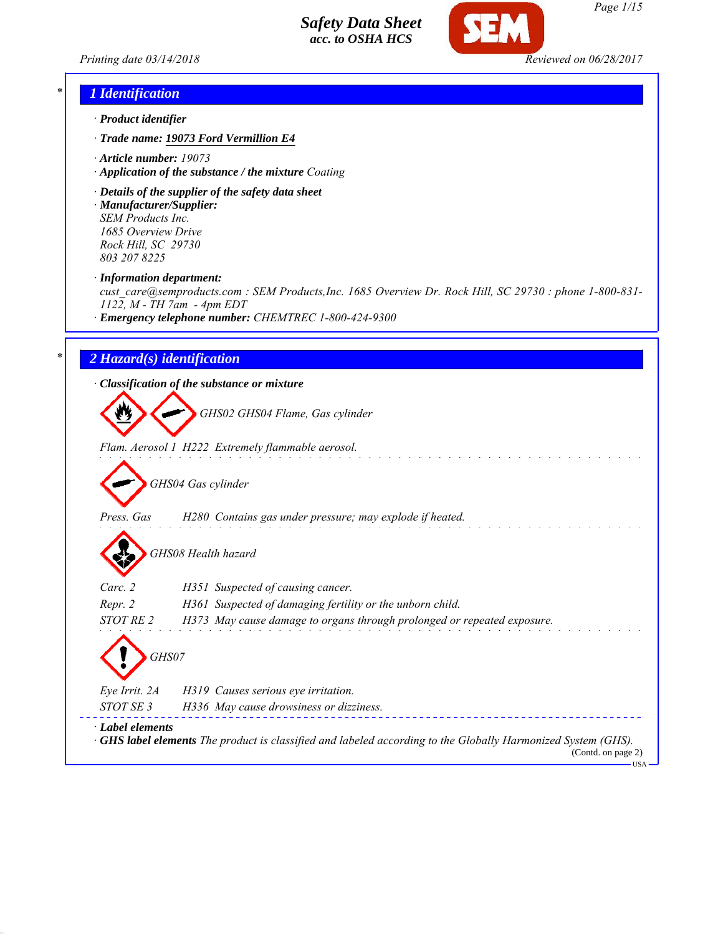*Printing date 03/14/2018 Reviewed on 06/28/2017*



### *\* 1 Identification*

- *· Product identifier*
- *· Trade name: 19073 Ford Vermillion E4*
- *· Article number: 19073*
- *· Application of the substance / the mixture Coating*
- *· Details of the supplier of the safety data sheet · Manufacturer/Supplier: SEM Products Inc.*

*1685 Overview Drive Rock Hill, SC 29730 803 207 8225*

*· Information department:*

*cust\_care@semproducts.com : SEM Products,Inc. 1685 Overview Dr. Rock Hill, SC 29730 : phone 1-800-831- 1122, M - TH 7am - 4pm EDT*

*· Emergency telephone number: CHEMTREC 1-800-424-9300*

### *\* 2 Hazard(s) identification*

*· Classification of the substance or mixture*

*GHS02 GHS04 Flame, Gas cylinder*

*Flam. Aerosol 1 H222 Extremely flammable aerosol.*

*GHS04 Gas cylinder*

*Press. Gas H280 Contains gas under pressure; may explode if heated.*

*GHS08 Health hazard*

| Carc. 2          | H351 Suspected of causing cancer.                                                                                                                 |  |  |
|------------------|---------------------------------------------------------------------------------------------------------------------------------------------------|--|--|
| Repr. 2          | H361 Suspected of damaging fertility or the unborn child.                                                                                         |  |  |
| STOT RE 2        | H373 May cause damage to organs through prolonged or repeated exposure.                                                                           |  |  |
|                  |                                                                                                                                                   |  |  |
| Eye Irrit. 2A    | H319 Causes serious eye irritation.                                                                                                               |  |  |
| STOT SE 3        | H336 May cause drowsiness or dizziness.                                                                                                           |  |  |
| · Label elements | $\cdot$ GHS label elements The product is classified and labeled according to the Globally Harmonized System (GHS).<br>$(Contd)$ on nage $\gamma$ |  |  |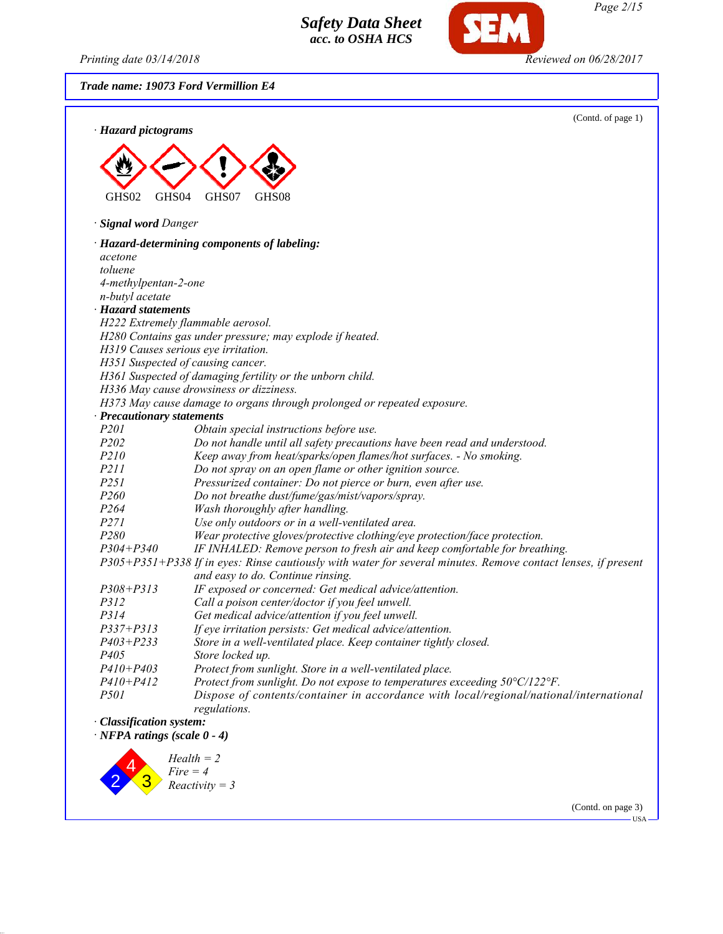*Printing date 03/14/2018 Reviewed on 06/28/2017*

*Trade name: 19073 Ford Vermillion E4*



(Contd. on page 3)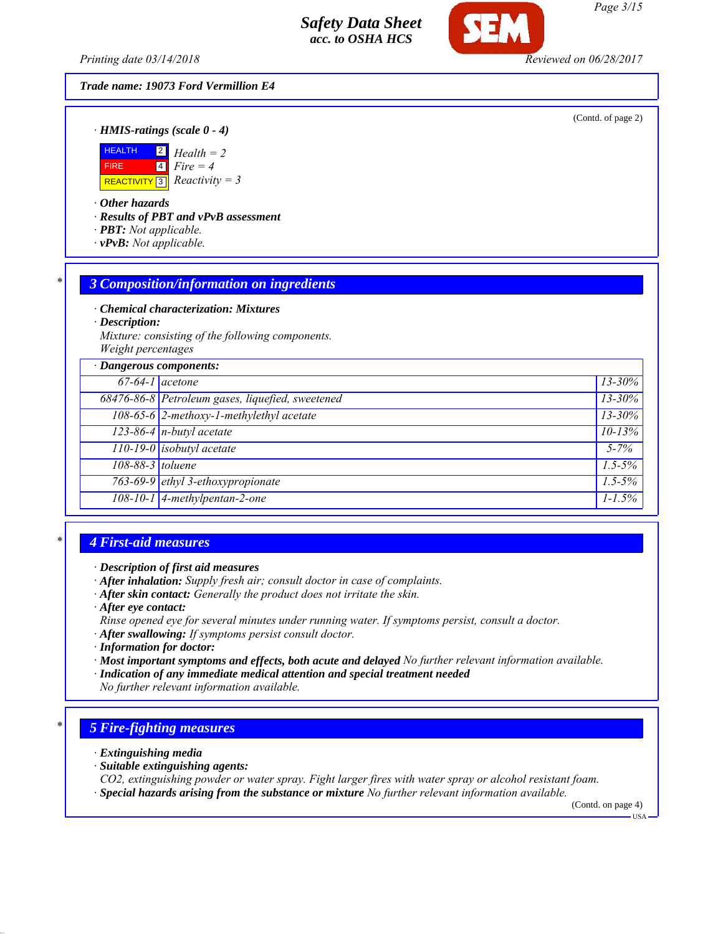*Printing date 03/14/2018 Reviewed on 06/28/2017*

#### *Trade name: 19073 Ford Vermillion E4*

(Contd. of page 2)

*· HMIS-ratings (scale 0 - 4)*



*· Other hazards*

*· Results of PBT and vPvB assessment*

- *· PBT: Not applicable.*
- *· vPvB: Not applicable.*

### *\* 3 Composition/information on ingredients*

*· Chemical characterization: Mixtures*

*· Description:*

*Mixture: consisting of the following components. Weight percentages*

| · Dangerous components: |                                                  |                      |  |
|-------------------------|--------------------------------------------------|----------------------|--|
|                         | $67-64-1$ acetone                                | $13 - 30\%$          |  |
|                         | 68476-86-8 Petroleum gases, liquefied, sweetened | $13 - 30\%$          |  |
|                         | 108-65-6 2-methoxy-1-methylethyl acetate         | $13 - 30%$           |  |
|                         | $\overline{123-86-4}$ n-butyl acetate            | $10 - 13%$           |  |
|                         | 110-19-0 isobutyl acetate                        | $5 - 7\%$            |  |
| 108-88-3 toluene        |                                                  | $1.5 - 5\%$          |  |
|                         | 763-69-9 ethyl 3-ethoxypropionate                | $\overline{1.5-5\%}$ |  |
|                         | 108-10-1 4-methylpentan-2-one                    | $1 - 1.5\%$          |  |
|                         |                                                  |                      |  |

### *\* 4 First-aid measures*

*· Description of first aid measures*

- *· After inhalation: Supply fresh air; consult doctor in case of complaints.*
- *· After skin contact: Generally the product does not irritate the skin.*
- *· After eye contact:*
- *Rinse opened eye for several minutes under running water. If symptoms persist, consult a doctor.*
- *· After swallowing: If symptoms persist consult doctor.*
- *· Information for doctor:*
- *· Most important symptoms and effects, both acute and delayed No further relevant information available.*
- *· Indication of any immediate medical attention and special treatment needed*

*No further relevant information available.*

## *\* 5 Fire-fighting measures*

- *· Extinguishing media*
- *· Suitable extinguishing agents:*
- *CO2, extinguishing powder or water spray. Fight larger fires with water spray or alcohol resistant foam.*
- *· Special hazards arising from the substance or mixture No further relevant information available.*

(Contd. on page 4)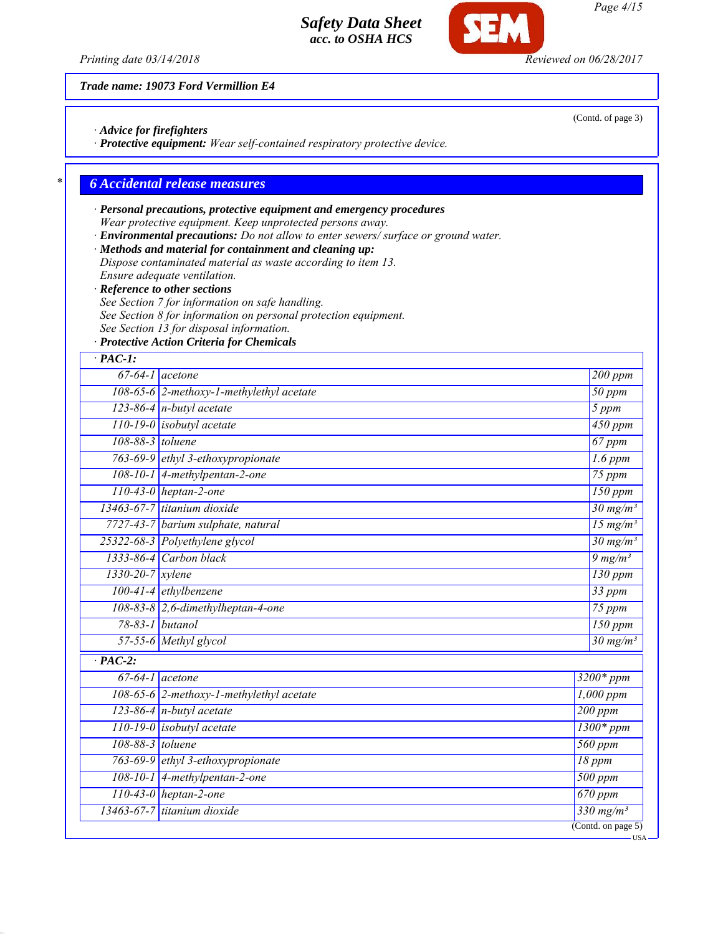

*Trade name: 19073 Ford Vermillion E4*

*· Advice for firefighters*

*· Protective equipment: Wear self-contained respiratory protective device.*

## *\* 6 Accidental release measures*

- *· Personal precautions, protective equipment and emergency procedures Wear protective equipment. Keep unprotected persons away.*
- *· Environmental precautions: Do not allow to enter sewers/ surface or ground water.*
- *· Methods and material for containment and cleaning up: Dispose contaminated material as waste according to item 13.*
- *Ensure adequate ventilation.*
- *· Reference to other sections*
- *See Section 7 for information on safe handling.*
- *See Section 8 for information on personal protection equipment.*
- *See Section 13 for disposal information.*
- *· Protective Action Criteria for Chemicals*

| $\cdot$ PAC-1:       |                                          |                              |
|----------------------|------------------------------------------|------------------------------|
| $67-64-1$ acetone    |                                          | $200$ ppm                    |
|                      | 108-65-6 2-methoxy-1-methylethyl acetate | $50$ ppm                     |
|                      | $123-86-4$ n-butyl acetate               | 5 ppm                        |
|                      | $110-19-0$ isobutyl acetate              | 450 ppm                      |
| 108-88-3 toluene     |                                          | $67$ ppm                     |
|                      | 763-69-9 ethyl 3-ethoxypropionate        | $\overline{1.6}$ ppm         |
|                      | $108-10-1$ 4-methylpentan-2-one          | $75$ ppm                     |
|                      | $110-43-0$ heptan-2-one                  | $150$ ppm                    |
|                      | 13463-67-7 titanium dioxide              | $30 \text{ mg/m}^3$          |
|                      | 7727-43-7 barium sulphate, natural       | $15 \text{ mg/m}^3$          |
|                      | 25322-68-3 Polyethylene glycol           | $30 \frac{mg}{m^3}$          |
|                      | 1333-86-4 Carbon black                   | $9 \frac{mg}{m^3}$           |
| $1330-20-7$ xylene   |                                          | 130 ppm                      |
|                      | 100-41-4 ethylbenzene                    | $33$ ppm                     |
|                      | 108-83-8 2,6-dimethylheptan-4-one        | $75$ ppm                     |
|                      | 78-83-1 butanol                          | $150$ ppm                    |
|                      | 57-55-6 Methyl glycol                    | $30 \frac{mg}{m^3}$          |
| $\overline{PAC-2}$ : |                                          |                              |
| $67-64-1$ acetone    |                                          | $3200*ppm$                   |
|                      | 108-65-6 2-methoxy-1-methylethyl acetate | $1,000$ ppm                  |
|                      | $123-86-4$ n-butyl acetate               | $200$ ppm                    |
|                      | 110-19-0 isobutyl acetate                | $1300*ppm$                   |
| 108-88-3 toluene     |                                          | $\overline{560}$ ppm         |
|                      | 763-69-9 ethyl 3-ethoxypropionate        | 18 ppm                       |
|                      | 108-10-1 4-methylpentan-2-one            | $500$ ppm                    |
|                      | $110-43-0$ heptan-2-one                  | $670$ ppm                    |
|                      | 13463-67-7 titanium dioxide              | $\frac{330 \text{ mg}}{m^3}$ |
|                      |                                          | (Cond. on page 5)            |

(Contd. of page 3)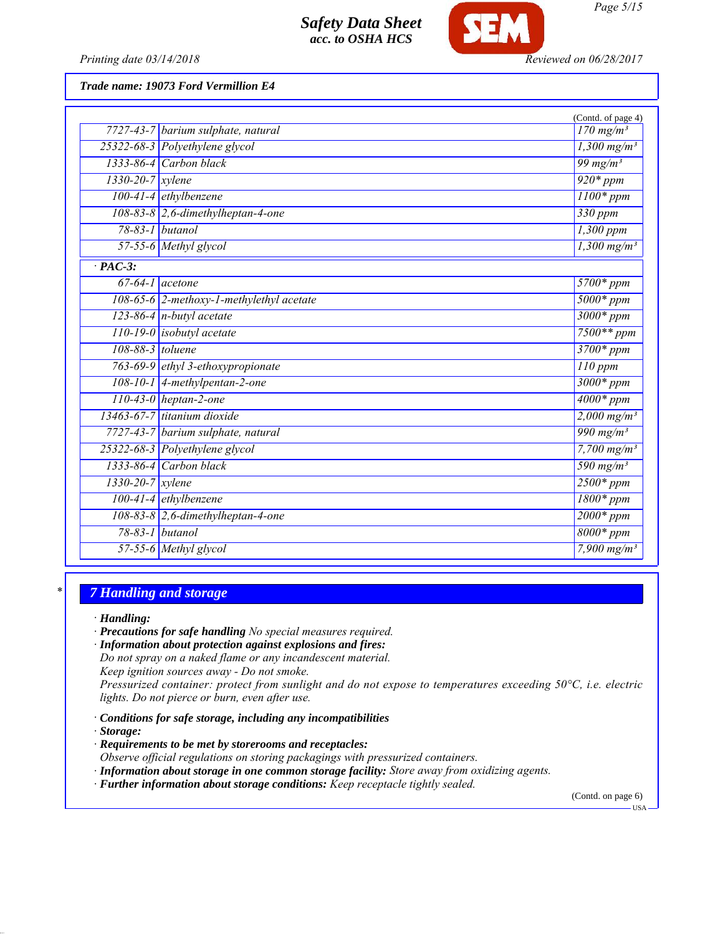

*Printing date 03/14/2018 Reviewed on 06/28/2017*

### *Trade name: 19073 Ford Vermillion E4*

|                        |                                          | (Contd. of page 4)                |
|------------------------|------------------------------------------|-----------------------------------|
|                        | 7727-43-7 barium sulphate, natural       | $170$ mg/m <sup>3</sup>           |
|                        | 25322-68-3 Polyethylene glycol           | $\frac{1,300 \text{ mg/m}^3}{2}$  |
|                        | 1333-86-4 Carbon black                   | 99 mg/m $3$                       |
| $1330 - 20 - 7$ xylene |                                          | $\overline{920}$ * ppm            |
|                        | 100-41-4 ethylbenzene                    | $1100*ppm$                        |
|                        | $108-83-8$ 2,6-dimethylheptan-4-one      | 330 ppm                           |
|                        | 78-83-1 <i>butanol</i>                   | $1,300$ ppm                       |
|                        | 57-55-6 Methyl glycol                    | $1,300$ mg/m <sup>3</sup>         |
| $\cdot$ PAC-3:         |                                          |                                   |
|                        | $67-64-1$ acetone                        | $5700*ppm$                        |
|                        | 108-65-6 2-methoxy-1-methylethyl acetate | $5000*ppm$                        |
|                        | $123-86-4$ n-butyl acetate               | $3000*ppm$                        |
|                        | 110-19-0 isobutyl acetate                | $7500**$ ppm                      |
| 108-88-3 toluene       |                                          | 3700* ppm                         |
|                        | 763-69-9 ethyl 3-ethoxypropionate        | $110$ ppm                         |
|                        | $108-10-1$ 4-methylpentan-2-one          | $3000*ppm$                        |
|                        | $110-43-0$ heptan-2-one                  | $4000*ppm$                        |
|                        | 13463-67-7 titanium dioxide              | $2,000 \text{ mg/m}^3$            |
|                        | 7727-43-7 barium sulphate, natural       | 990 mg/m <sup>3</sup>             |
|                        | 25322-68-3 Polyethylene glycol           | $7,700 \,\mathrm{mg/m^3}$         |
|                        | 1333-86-4 Carbon black                   | $\frac{1}{590}$ mg/m <sup>3</sup> |
| $1330 - 20 - 7$ xylene |                                          | $2500*ppm$                        |
|                        | $100-41-4$ ethylbenzene                  | $1800*ppm$                        |
|                        | $108-83-8$ 2,6-dimethylheptan-4-one      | $2000*$ ppm                       |
|                        | 78-83-1 butanol                          | $8000*ppm$                        |
|                        | 57-55-6 Methyl glycol                    | 7,900 $mg/m^3$                    |

### *\* 7 Handling and storage*

*· Handling:*

*· Precautions for safe handling No special measures required.*

*· Information about protection against explosions and fires:*

*Do not spray on a naked flame or any incandescent material.*

*Keep ignition sources away - Do not smoke.*

*Pressurized container: protect from sunlight and do not expose to temperatures exceeding 50°C, i.e. electric lights. Do not pierce or burn, even after use.*

*· Conditions for safe storage, including any incompatibilities*

*· Storage:*

*· Requirements to be met by storerooms and receptacles:*

*Observe official regulations on storing packagings with pressurized containers.*

*· Information about storage in one common storage facility: Store away from oxidizing agents.*

*· Further information about storage conditions: Keep receptacle tightly sealed.*

(Contd. on page 6)

 $-<sub>USA</sub>$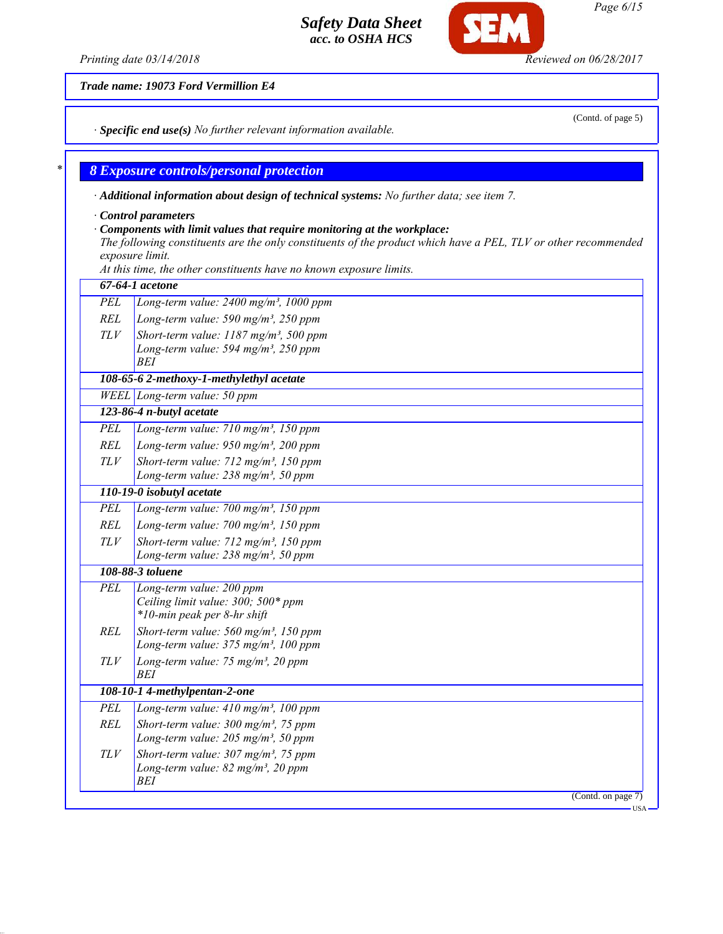*Trade name: 19073 Ford Vermillion E4*

*· Specific end use(s) No further relevant information available.*

### *\* 8 Exposure controls/personal protection*

*· Additional information about design of technical systems: No further data; see item 7.*

*· Control parameters*

#### *· Components with limit values that require monitoring at the workplace:*

*The following constituents are the only constituents of the product which have a PEL, TLV or other recommended exposure limit.*

*At this time, the other constituents have no known exposure limits.*

|            | 67-64-1 acetone                                                                                                 |
|------------|-----------------------------------------------------------------------------------------------------------------|
| <b>PEL</b> | Long-term value: 2400 mg/m <sup>3</sup> , 1000 ppm                                                              |
| REL        | Long-term value: 590 mg/m <sup>3</sup> , 250 ppm                                                                |
| TLV        | Short-term value: $1187$ mg/m <sup>3</sup> , 500 ppm                                                            |
|            | Long-term value: 594 mg/m <sup>3</sup> , 250 ppm<br><b>BEI</b>                                                  |
|            | 108-65-6 2-methoxy-1-methylethyl acetate                                                                        |
|            | $WELL$ Long-term value: 50 ppm                                                                                  |
|            | 123-86-4 n-butyl acetate                                                                                        |
| PEL        | Long-term value: $710$ mg/m <sup>3</sup> , 150 ppm                                                              |
| <b>REL</b> | Long-term value: $950$ mg/m <sup>3</sup> , 200 ppm                                                              |
| TLV        | Short-term value: 712 mg/m <sup>3</sup> , 150 ppm<br>Long-term value: $238$ mg/m <sup>3</sup> , 50 ppm          |
|            | 110-19-0 isobutyl acetate                                                                                       |
| <b>PEL</b> | Long-term value: 700 mg/m <sup>3</sup> , 150 ppm                                                                |
| <b>REL</b> | Long-term value: $700$ mg/m <sup>3</sup> , 150 ppm                                                              |
| TLV        | Short-term value: 712 mg/m <sup>3</sup> , 150 ppm                                                               |
|            | Long-term value: $238$ mg/m <sup>3</sup> , 50 ppm                                                               |
|            | 108-88-3 toluene                                                                                                |
| <b>PEL</b> | Long-term value: 200 ppm<br>Ceiling limit value: 300; 500* ppm<br>*10-min peak per 8-hr shift                   |
| <b>REL</b> | Short-term value: $560$ mg/m <sup>3</sup> , 150 ppm<br>Long-term value: 375 mg/m <sup>3</sup> , 100 ppm         |
| <b>TLV</b> | Long-term value: 75 mg/m <sup>3</sup> , 20 ppm<br><b>BEI</b>                                                    |
|            | 108-10-1 4-methylpentan-2-one                                                                                   |
| PEL        | Long-term value: $410 \text{ mg/m}^3$ , 100 ppm                                                                 |
| <b>REL</b> | Short-term value: $300$ mg/m <sup>3</sup> , 75 ppm<br>Long-term value: $205$ mg/m <sup>3</sup> , 50 ppm         |
|            |                                                                                                                 |
| TLV        | Short-term value: $307 \text{ mg/m}^3$ , 75 ppm<br>Long-term value: 82 mg/m <sup>3</sup> , 20 ppm<br><b>BEI</b> |
|            | (Contd. on page 7)                                                                                              |
|            |                                                                                                                 |

*Page 6/15*

*Printing date 03/14/2018 Reviewed on 06/28/2017*

Œ

(Contd. of page 5)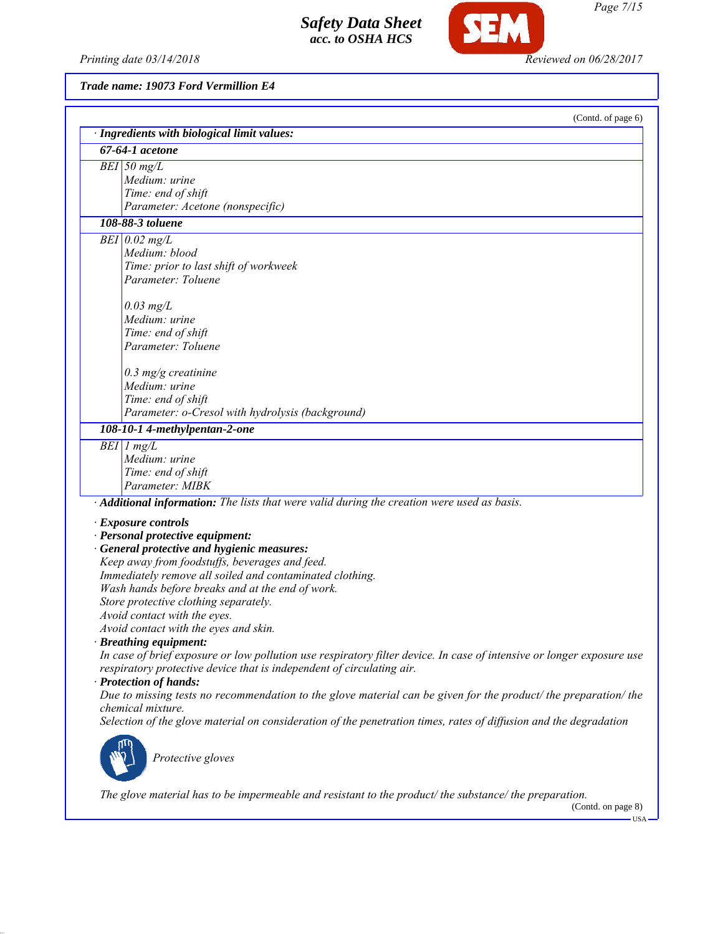*Printing date 03/14/2018 Reviewed on 06/28/2017*

**SEM** 

*Trade name: 19073 Ford Vermillion E4*

|                                                                                                                       | (Contd. of page 6) |
|-----------------------------------------------------------------------------------------------------------------------|--------------------|
| · Ingredients with biological limit values:<br>$67-64-1$ acetone                                                      |                    |
|                                                                                                                       |                    |
| $BEI$ 50 mg/L                                                                                                         |                    |
| Medium: urine                                                                                                         |                    |
| Time: end of shift                                                                                                    |                    |
| Parameter: Acetone (nonspecific)                                                                                      |                    |
| 108-88-3 toluene                                                                                                      |                    |
| $BEI$ 0.02 mg/L                                                                                                       |                    |
| Medium: blood                                                                                                         |                    |
| Time: prior to last shift of workweek                                                                                 |                    |
| Parameter: Toluene                                                                                                    |                    |
| $0.03$ mg/L                                                                                                           |                    |
| Medium: urine                                                                                                         |                    |
| Time: end of shift                                                                                                    |                    |
| Parameter: Toluene                                                                                                    |                    |
|                                                                                                                       |                    |
| $0.3$ mg/g creatinine                                                                                                 |                    |
| Medium: urine                                                                                                         |                    |
| Time: end of shift                                                                                                    |                    |
| Parameter: o-Cresol with hydrolysis (background)                                                                      |                    |
| 108-10-1 4-methylpentan-2-one                                                                                         |                    |
| $BEI$ 1 mg/L                                                                                                          |                    |
| Medium: urine                                                                                                         |                    |
| Time: end of shift                                                                                                    |                    |
| Parameter: MIBK                                                                                                       |                    |
| · Additional information: The lists that were valid during the creation were used as basis.                           |                    |
| · Exposure controls                                                                                                   |                    |
| · Personal protective equipment:                                                                                      |                    |
| · General protective and hygienic measures:                                                                           |                    |
| Keep away from foodstuffs, beverages and feed.                                                                        |                    |
| Immediately remove all soiled and contaminated clothing.                                                              |                    |
| Wash hands before breaks and at the end of work.                                                                      |                    |
| Store protective clothing separately.                                                                                 |                    |
| Avoid contact with the eyes.                                                                                          |                    |
| Avoid contact with the eyes and skin.                                                                                 |                    |
| · Breathing equipment:                                                                                                |                    |
| In case of brief exposure or low pollution use respiratory filter device. In case of intensive or longer exposure use |                    |
| respiratory protective device that is independent of circulating air.                                                 |                    |
| · Protection of hands:                                                                                                |                    |
| Due to missing tests no recommendation to the glove material can be given for the product/ the preparation/ the       |                    |
| chemical mixture.                                                                                                     |                    |
| Selection of the glove material on consideration of the penetration times, rates of diffusion and the degradation     |                    |
|                                                                                                                       |                    |
| Protective gloves                                                                                                     |                    |
|                                                                                                                       |                    |
|                                                                                                                       |                    |

*The glove material has to be impermeable and resistant to the product/ the substance/ the preparation.*

(Contd. on page 8)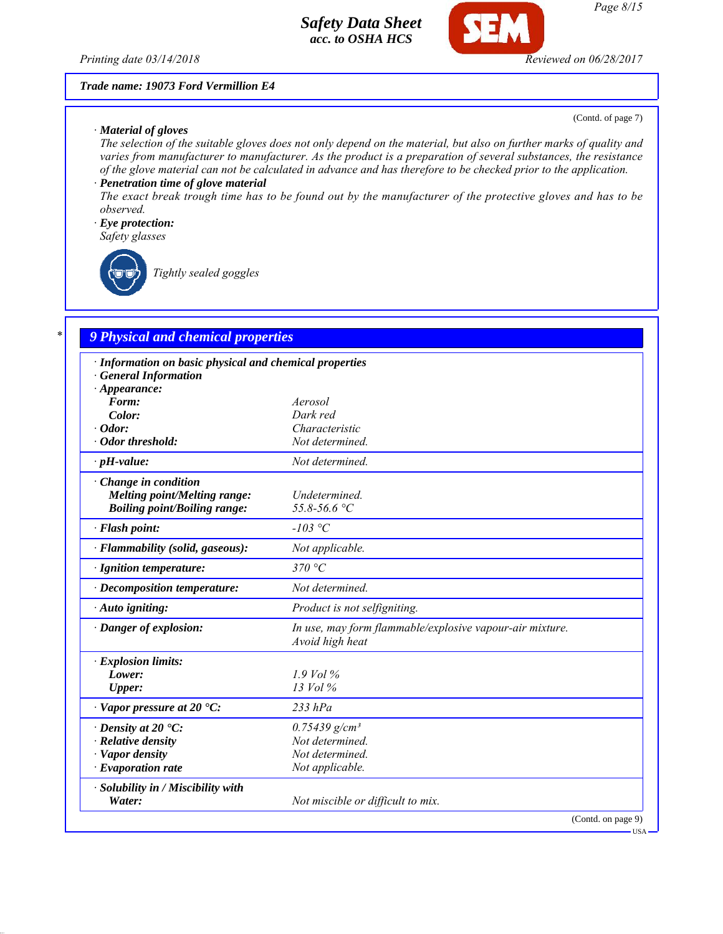*Printing date 03/14/2018 Reviewed on 06/28/2017*

#### *Trade name: 19073 Ford Vermillion E4*

#### *· Material of gloves*

(Contd. of page 7)

USA

*The selection of the suitable gloves does not only depend on the material, but also on further marks of quality and varies from manufacturer to manufacturer. As the product is a preparation of several substances, the resistance of the glove material can not be calculated in advance and has therefore to be checked prior to the application.*

## *· Penetration time of glove material*

*The exact break trough time has to be found out by the manufacturer of the protective gloves and has to be observed.*

#### *· Eye protection:*

*Safety glasses*

*Tightly sealed goggles*

## *\* 9 Physical and chemical properties*

| · Information on basic physical and chemical properties |                                                                             |
|---------------------------------------------------------|-----------------------------------------------------------------------------|
| · General Information                                   |                                                                             |
| $\cdot$ Appearance:                                     |                                                                             |
| Form:                                                   | Aerosol                                                                     |
| Color:                                                  | Dark red                                                                    |
| $\cdot$ Odor:                                           | Characteristic                                                              |
| · Odor threshold:                                       | Not determined.                                                             |
| $\cdot$ pH-value:                                       | Not determined.                                                             |
| $\cdot$ Change in condition                             |                                                                             |
| <b>Melting point/Melting range:</b>                     | Undetermined.                                                               |
| <b>Boiling point/Boiling range:</b>                     | 55.8-56.6 °C                                                                |
| · Flash point:                                          | $-103$ °C                                                                   |
| · Flammability (solid, gaseous):                        | Not applicable.                                                             |
| · Ignition temperature:                                 | 370 $^{\circ}C$                                                             |
| $\cdot$ Decomposition temperature:                      | Not determined.                                                             |
| · Auto igniting:                                        | Product is not selfigniting.                                                |
| · Danger of explosion:                                  | In use, may form flammable/explosive vapour-air mixture.<br>Avoid high heat |
| · Explosion limits:                                     |                                                                             |
| Lower:                                                  | $1.9$ Vol %                                                                 |
| <b>Upper:</b>                                           | $13$ Vol $\%$                                                               |
| $\cdot$ Vapor pressure at 20 $\cdot$ C:                 | $233$ hPa                                                                   |
| $\cdot$ Density at 20 $\cdot$ C:                        | $0.75439$ g/cm <sup>3</sup>                                                 |
| · Relative density                                      | Not determined.                                                             |
| · Vapor density                                         | Not determined.                                                             |
| $\cdot$ Evaporation rate                                | Not applicable.                                                             |
| · Solubility in / Miscibility with                      |                                                                             |
| Water:                                                  | Not miscible or difficult to mix.                                           |
|                                                         | (Contd. on page 9)                                                          |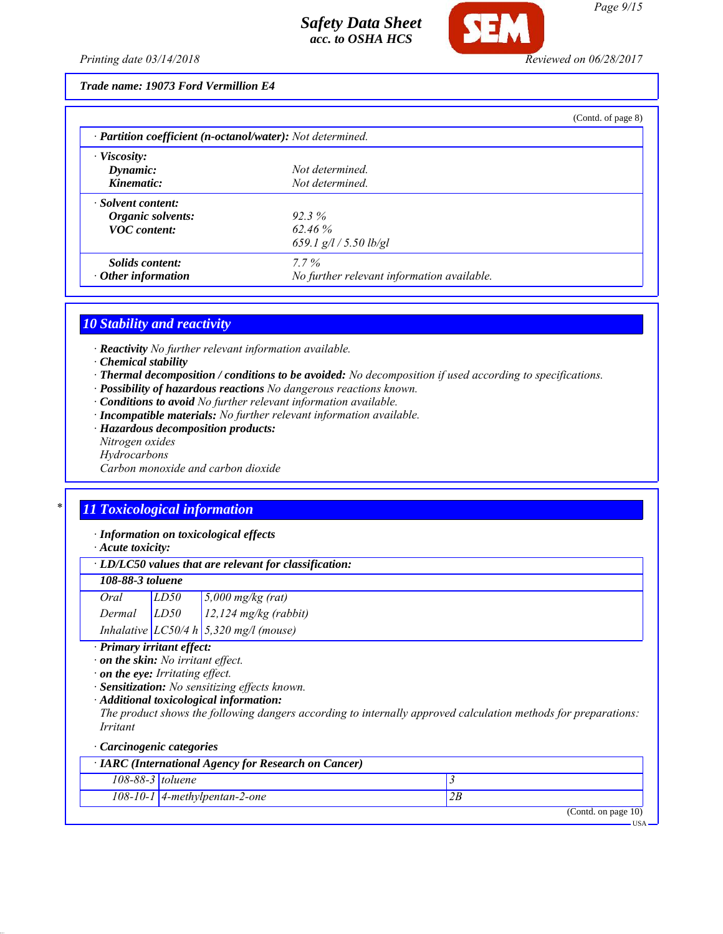

### *Trade name: 19073 Ford Vermillion E4*

|                                                            |                                            | (Contd. of page 8) |
|------------------------------------------------------------|--------------------------------------------|--------------------|
| · Partition coefficient (n-octanol/water): Not determined. |                                            |                    |
| $\cdot$ Viscosity:                                         |                                            |                    |
| Dynamic:                                                   | Not determined.                            |                    |
| Kinematic:                                                 | Not determined.                            |                    |
| · Solvent content:                                         |                                            |                    |
| Organic solvents:                                          | $92.3\%$                                   |                    |
| <b>VOC</b> content:                                        | 62.46%                                     |                    |
|                                                            | 659.1 $g/l / 5.50$ lb/gl                   |                    |
| Solids content:                                            | $7.7\%$                                    |                    |
| $\cdot$ Other information                                  | No further relevant information available. |                    |

### *10 Stability and reactivity*

- *· Reactivity No further relevant information available.*
- *· Chemical stability*
- *· Thermal decomposition / conditions to be avoided: No decomposition if used according to specifications.*
- *· Possibility of hazardous reactions No dangerous reactions known.*
- *· Conditions to avoid No further relevant information available.*
- *· Incompatible materials: No further relevant information available.*
- *· Hazardous decomposition products:*
- *Nitrogen oxides*
- *Hydrocarbons*
- *Carbon monoxide and carbon dioxide*

# *\* 11 Toxicological information*

*· Information on toxicological effects*

*· Acute toxicity:*

### *108-88-3 toluene*

| Oral   | LD50 | $5,000$ mg/kg (rat)                        |
|--------|------|--------------------------------------------|
| Dermal | LD50 | $12,124$ mg/kg (rabbit)                    |
|        |      | Inhalative $LC50/4 h   5,320 mg/l$ (mouse) |

### *· Primary irritant effect:*

*· on the skin: No irritant effect.*

*· on the eye: Irritating effect.*

*· Sensitization: No sensitizing effects known.*

*· Additional toxicological information:*

*The product shows the following dangers according to internally approved calculation methods for preparations: Irritant*

#### *· Carcinogenic categories*

| $\cdot$ IARC (International Agency for Research on Cancer) |                        |  |
|------------------------------------------------------------|------------------------|--|
| $108-88-3$ toluene                                         |                        |  |
| $108-10-1$ 4-methylpentan-2-one                            |                        |  |
|                                                            | (Contd. on page $10$ ) |  |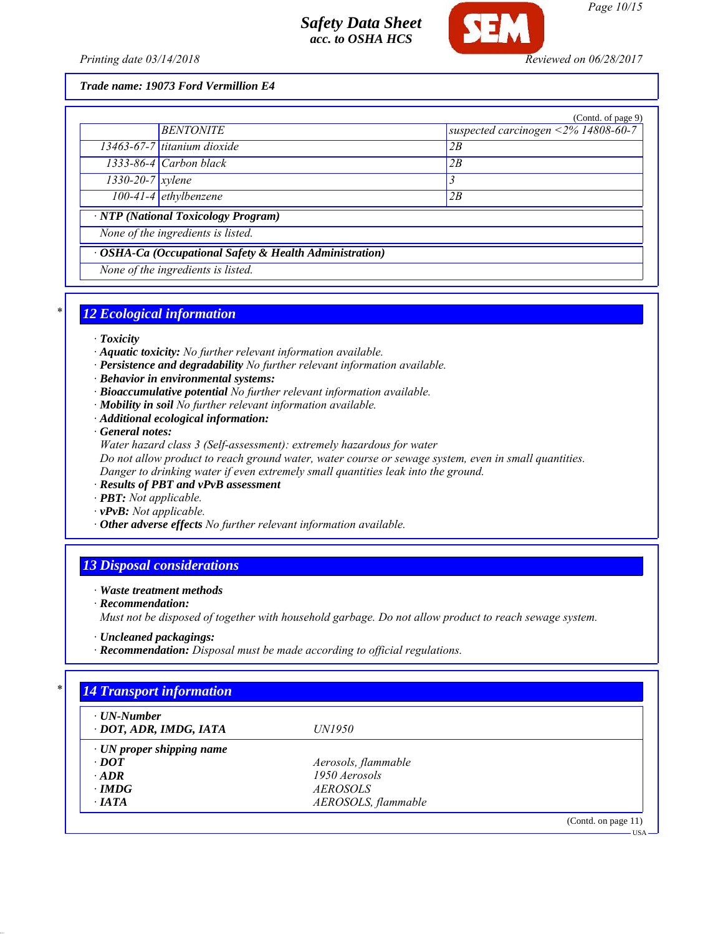

*Page 10/15*

*Printing date 03/14/2018 Reviewed on 06/28/2017*

*Trade name: 19073 Ford Vermillion E4*

|                                                         |                               | (Contd. of page 9)                  |  |
|---------------------------------------------------------|-------------------------------|-------------------------------------|--|
|                                                         | <b>BENTONITE</b>              | suspected carcinogen <2% 14808-60-7 |  |
|                                                         | $13463-67-7$ titanium dioxide | 2B                                  |  |
|                                                         | $1333-86-4$ Carbon black      | 2B                                  |  |
| $1330 - 20 - 7$ <i>xylene</i>                           |                               | 3                                   |  |
|                                                         | $100-41-4$ ethylbenzene       | 2B                                  |  |
| · NTP (National Toxicology Program)                     |                               |                                     |  |
| None of the ingredients is listed.                      |                               |                                     |  |
| · OSHA-Ca (Occupational Safety & Health Administration) |                               |                                     |  |
| None of the ingredients is listed.                      |                               |                                     |  |

### *\* 12 Ecological information*

- *· Toxicity*
- *· Aquatic toxicity: No further relevant information available.*
- *· Persistence and degradability No further relevant information available.*
- *· Behavior in environmental systems:*
- *· Bioaccumulative potential No further relevant information available.*
- *· Mobility in soil No further relevant information available.*
- *· Additional ecological information:*

*· General notes:*

*Water hazard class 3 (Self-assessment): extremely hazardous for water*

*Do not allow product to reach ground water, water course or sewage system, even in small quantities. Danger to drinking water if even extremely small quantities leak into the ground.*

*· Results of PBT and vPvB assessment*

*· PBT: Not applicable.*

- *· vPvB: Not applicable.*
- *· Other adverse effects No further relevant information available.*

## *13 Disposal considerations*

*· Waste treatment methods*

*· Recommendation:*

*Must not be disposed of together with household garbage. Do not allow product to reach sewage system.*

*· Uncleaned packagings:*

*· Recommendation: Disposal must be made according to official regulations.*

| $\cdot$ UN-Number<br>· DOT, ADR, IMDG, IATA | <i>UN1950</i>       |  |
|---------------------------------------------|---------------------|--|
| $\cdot$ UN proper shipping name             |                     |  |
| $\cdot$ DOT                                 | Aerosols, flammable |  |
| $\cdot$ ADR                                 | 1950 Aerosols       |  |
| $\cdot$ IMDG                                | <i>AEROSOLS</i>     |  |
| $\cdot$ IATA                                | AEROSOLS, flammable |  |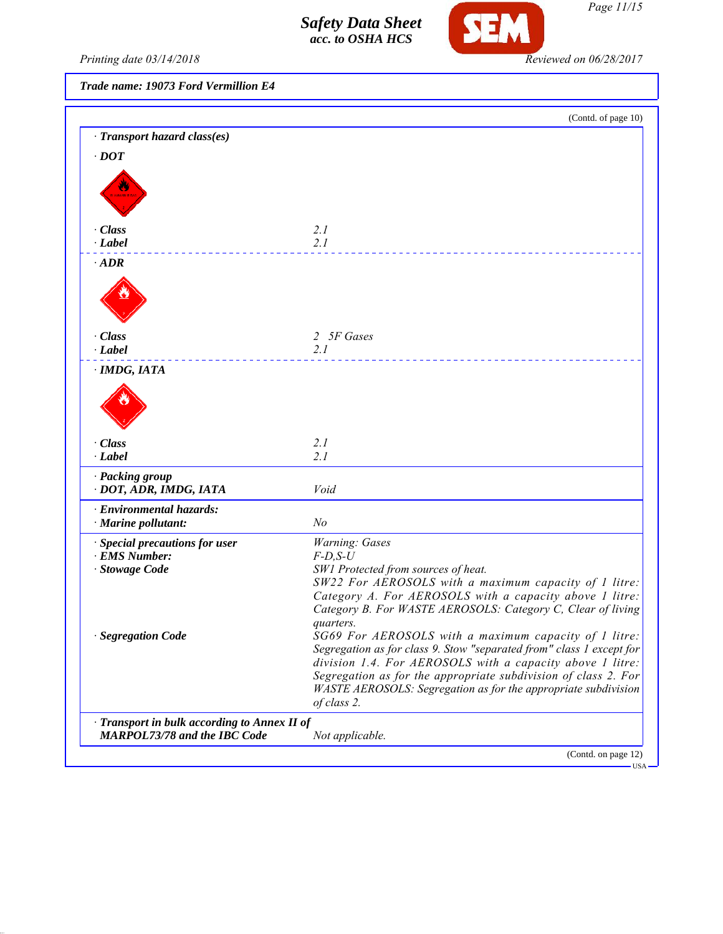

*Page 11/15*

Printing date 03/14/2018 **Reviewed on 06/28/2017** 

*Trade name: 19073 Ford Vermillion E4*

|                                              | (Contd. of page 10)                                                                                                              |
|----------------------------------------------|----------------------------------------------------------------------------------------------------------------------------------|
| · Transport hazard class(es)                 |                                                                                                                                  |
| $\cdot$ DOT                                  |                                                                                                                                  |
|                                              |                                                                                                                                  |
|                                              |                                                                                                                                  |
|                                              |                                                                                                                                  |
|                                              |                                                                                                                                  |
| · Class<br>$\cdot$ Label                     | 2.1<br>2.1                                                                                                                       |
|                                              |                                                                                                                                  |
| $\cdot$ ADR                                  |                                                                                                                                  |
|                                              |                                                                                                                                  |
|                                              |                                                                                                                                  |
|                                              |                                                                                                                                  |
| · Class                                      | 2 5F Gases                                                                                                                       |
| $\cdot$ Label                                | 2.1                                                                                                                              |
| $\cdot$ IMDG, IATA                           |                                                                                                                                  |
|                                              |                                                                                                                                  |
|                                              |                                                                                                                                  |
|                                              |                                                                                                                                  |
|                                              |                                                                                                                                  |
| · Class                                      | 2.1                                                                                                                              |
| · Label                                      | 2.1                                                                                                                              |
| · Packing group                              |                                                                                                                                  |
| · DOT, ADR, IMDG, IATA                       | Void                                                                                                                             |
| · Environmental hazards:                     |                                                                                                                                  |
| · Marine pollutant:                          | N <sub>o</sub>                                                                                                                   |
| · Special precautions for user               | Warning: Gases                                                                                                                   |
| · EMS Number:                                | $F$ -D,S-U                                                                                                                       |
| · Stowage Code                               | SW1 Protected from sources of heat.                                                                                              |
|                                              | SW22 For AEROSOLS with a maximum capacity of 1 litre:<br>Category A. For AEROSOLS with a capacity above 1 litre:                 |
|                                              | Category B. For WASTE AEROSOLS: Category C, Clear of living                                                                      |
|                                              | quarters.                                                                                                                        |
| · Segregation Code                           | SG69 For AEROSOLS with a maximum capacity of 1 litre:                                                                            |
|                                              | Segregation as for class 9. Stow "separated from" class 1 except for                                                             |
|                                              | division 1.4. For AEROSOLS with a capacity above 1 litre:                                                                        |
|                                              | Segregation as for the appropriate subdivision of class 2. For<br>WASTE AEROSOLS: Segregation as for the appropriate subdivision |
|                                              | of class 2.                                                                                                                      |
| · Transport in bulk according to Annex II of |                                                                                                                                  |
| <b>MARPOL73/78 and the IBC Code</b>          | Not applicable.                                                                                                                  |
|                                              | (Contd. on page 12)                                                                                                              |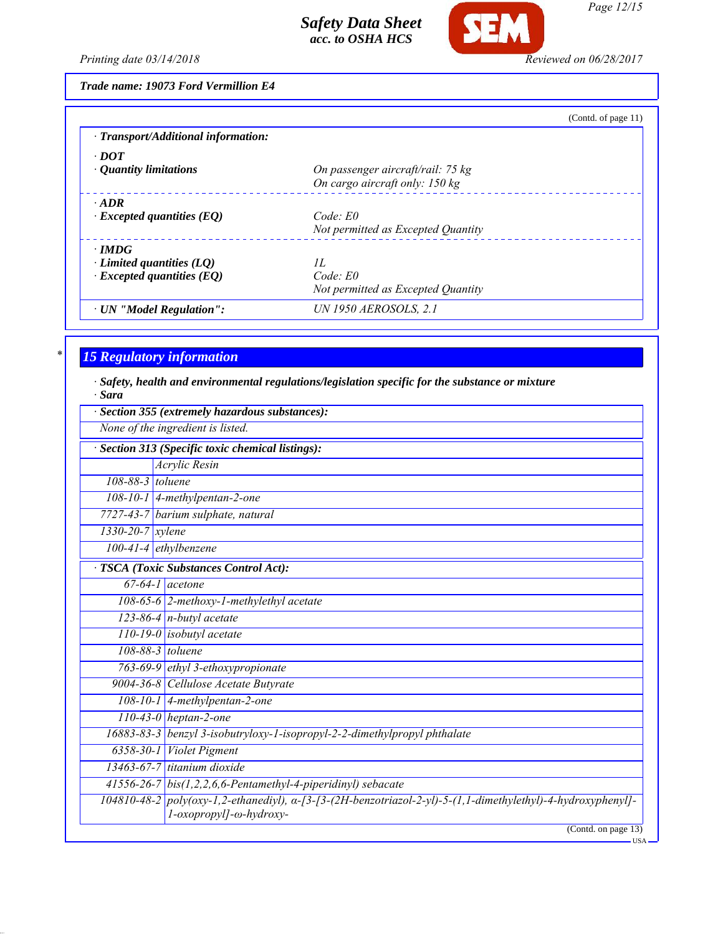

*Page 12/15*

*Printing date 03/14/2018 Reviewed on 06/28/2017*

*Trade name: 19073 Ford Vermillion E4*

|                                     | (Contd. of page 11)                |
|-------------------------------------|------------------------------------|
| · Transport/Additional information: |                                    |
| $\cdot$ DOT                         |                                    |
| • Quantity limitations              | On passenger aircraft/rail: 75 kg  |
|                                     | On cargo aircraft only: 150 kg     |
| $\cdot$ ADR                         |                                    |
| $\cdot$ Excepted quantities (EQ)    | Code: E0                           |
|                                     | Not permitted as Excepted Quantity |
| $\cdot$ IMDG                        |                                    |
| $\cdot$ Limited quantities (LQ)     | II.                                |
| $\cdot$ Excepted quantities (EQ)    | $Code$ $E0$                        |
|                                     | Not permitted as Excepted Quantity |
| · UN "Model Regulation":            | <b>UN 1950 AEROSOLS, 2.1</b>       |

## *\* 15 Regulatory information*

*· Safety, health and environmental regulations/legislation specific for the substance or mixture · Sara*

|                        | None of the ingredient is listed.                                                                                                       |
|------------------------|-----------------------------------------------------------------------------------------------------------------------------------------|
|                        | Section 313 (Specific toxic chemical listings):                                                                                         |
|                        | Acrylic Resin                                                                                                                           |
| 108-88-3 toluene       |                                                                                                                                         |
|                        | 108-10-1   4-methylpentan-2-one                                                                                                         |
|                        | 7727-43-7 barium sulphate, natural                                                                                                      |
| $1330 - 20 - 7$ xylene |                                                                                                                                         |
|                        | $100-41-4$ ethylbenzene                                                                                                                 |
|                        | TSCA (Toxic Substances Control Act):                                                                                                    |
|                        | $67-64-1$ acetone                                                                                                                       |
|                        | $108-65-6$ 2-methoxy-1-methylethyl acetate                                                                                              |
|                        | $123-86-4$ n-butyl acetate                                                                                                              |
|                        | $110-19-0$ isobutyl acetate                                                                                                             |
|                        | 108-88-3 toluene                                                                                                                        |
|                        | 763-69-9 ethyl 3-ethoxypropionate                                                                                                       |
|                        | 9004-36-8 Cellulose Acetate Butyrate                                                                                                    |
|                        | 108-10-1 4-methylpentan-2-one                                                                                                           |
|                        | $110-43-0$ heptan-2-one                                                                                                                 |
|                        | 16883-83-3 benzyl 3-isobutryloxy-1-isopropyl-2-2-dimethylpropyl phthalate                                                               |
|                        | 6358-30-1 Violet Pigment                                                                                                                |
|                        | $13463 - 67 - 7$ titanium dioxide                                                                                                       |
|                        | 41556-26-7 $bis(1,2,2,6,6$ -Pentamethyl-4-piperidinyl) sebacate                                                                         |
|                        | 104810-48-2 poly(oxy-1,2-ethanediyl), a-[3-[3-(2H-benzotriazol-2-yl)-5-(1,1-dimethylethyl)-4-hydroxyphenyl]-<br>l-oxopropyl]-ω-hydroxy- |
|                        | (Contd. on page 13)                                                                                                                     |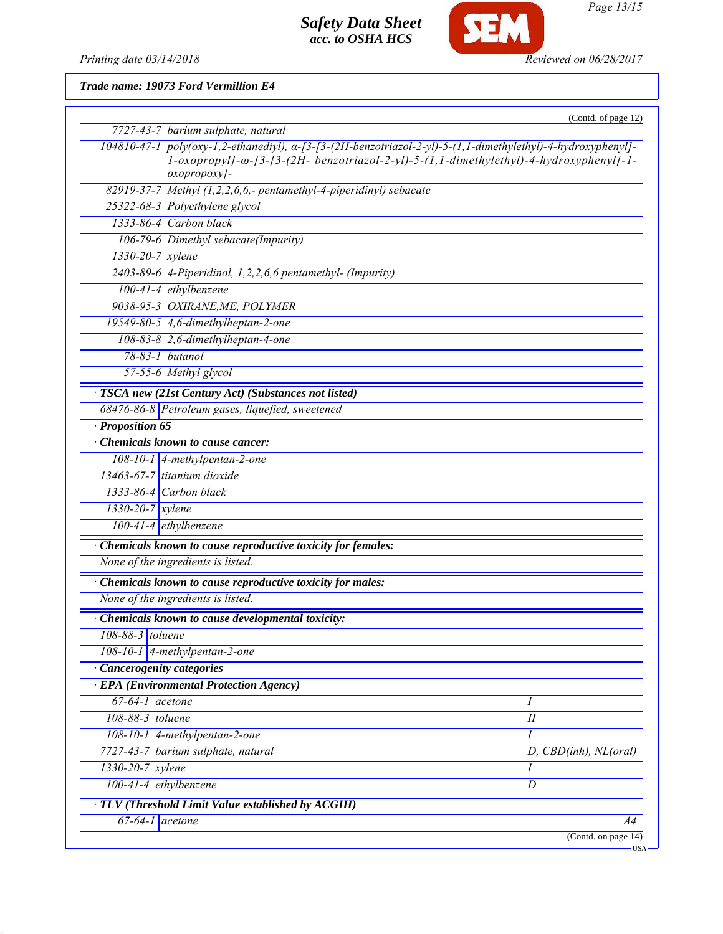

**SEM** 

*Page 13/15*

*Printing date 03/14/2018 Reviewed on 06/28/2017*

*Trade name: 19073 Ford Vermillion E4*

|                            | 7727-43-7 barium sulphate, natural                                                                                                                                                                                     | (Contd. of page 12)   |
|----------------------------|------------------------------------------------------------------------------------------------------------------------------------------------------------------------------------------------------------------------|-----------------------|
|                            |                                                                                                                                                                                                                        |                       |
|                            | 104810-47-1 poly(oxy-1,2-ethanediyl), a-[3-[3-(2H-benzotriazol-2-yl)-5-(1,1-dimethylethyl)-4-hydroxyphenyl]-<br>1-oxopropyl]-ω-[3-[3-(2H- benzotriazol-2-yl)-5-(1,1-dimethylethyl)-4-hydroxyphenyl]-1-<br>oxopropoxy]- |                       |
|                            | 82919-37-7 Methyl (1,2,2,6,6,- pentamethyl-4-piperidinyl) sebacate                                                                                                                                                     |                       |
|                            | 25322-68-3 Polyethylene glycol                                                                                                                                                                                         |                       |
|                            | 1333-86-4 Carbon black                                                                                                                                                                                                 |                       |
|                            | 106-79-6 Dimethyl sebacate(Impurity)                                                                                                                                                                                   |                       |
| 1330-20-7 xylene           |                                                                                                                                                                                                                        |                       |
|                            | $2403-89-6$ 4-Piperidinol, 1,2,2,6,6 pentamethyl- (Impurity)                                                                                                                                                           |                       |
|                            | $100-41-4$ ethylbenzene                                                                                                                                                                                                |                       |
|                            | 9038-95-3 OXIRANE, ME, POLYMER                                                                                                                                                                                         |                       |
|                            | 19549-80-5 4,6-dimethylheptan-2-one                                                                                                                                                                                    |                       |
|                            | 108-83-8 2,6-dimethylheptan-4-one                                                                                                                                                                                      |                       |
|                            | 78-83-1 butanol                                                                                                                                                                                                        |                       |
|                            | 57-55-6 Methyl glycol                                                                                                                                                                                                  |                       |
|                            | · TSCA new (21st Century Act) (Substances not listed)                                                                                                                                                                  |                       |
|                            | 68476-86-8 Petroleum gases, liquefied, sweetened                                                                                                                                                                       |                       |
| · Proposition 65           |                                                                                                                                                                                                                        |                       |
|                            | Chemicals known to cause cancer:                                                                                                                                                                                       |                       |
|                            | 108-10-1 $\vert$ 4-methylpentan-2-one                                                                                                                                                                                  |                       |
|                            | 13463-67-7 titanium dioxide                                                                                                                                                                                            |                       |
|                            | $1333-86-4$ Carbon black                                                                                                                                                                                               |                       |
| $1330 - 20 - 7$ xylene     |                                                                                                                                                                                                                        |                       |
|                            | $100-41-4$ ethylbenzene                                                                                                                                                                                                |                       |
|                            | · Chemicals known to cause reproductive toxicity for females:                                                                                                                                                          |                       |
|                            | None of the ingredients is listed.                                                                                                                                                                                     |                       |
|                            | Chemicals known to cause reproductive toxicity for males:                                                                                                                                                              |                       |
|                            | None of the ingredients is listed.                                                                                                                                                                                     |                       |
|                            | Chemicals known to cause developmental toxicity:                                                                                                                                                                       |                       |
| 108-88-3 toluene           |                                                                                                                                                                                                                        |                       |
|                            | $108-10-1$ 4-methylpentan-2-one                                                                                                                                                                                        |                       |
| · Cancerogenity categories |                                                                                                                                                                                                                        |                       |
|                            | <b>EPA</b> (Environmental Protection Agency)                                                                                                                                                                           |                       |
| $67-64-1$ acetone          |                                                                                                                                                                                                                        |                       |
| 108-88-3 toluene           |                                                                                                                                                                                                                        | $I\!I$                |
|                            | $108-10-1$ 4-methylpentan-2-one                                                                                                                                                                                        | I                     |
|                            | 7727-43-7 barium sulphate, natural                                                                                                                                                                                     | D, CBD(inh), NL(oral) |
| 1330-20-7 xylene           |                                                                                                                                                                                                                        |                       |
| 100-41-4 ethylbenzene      |                                                                                                                                                                                                                        | D                     |
|                            | · TLV (Threshold Limit Value established by ACGIH)                                                                                                                                                                     |                       |
| $67-64-1$ acetone          |                                                                                                                                                                                                                        | A4                    |
|                            |                                                                                                                                                                                                                        | (Contd. on page 14)   |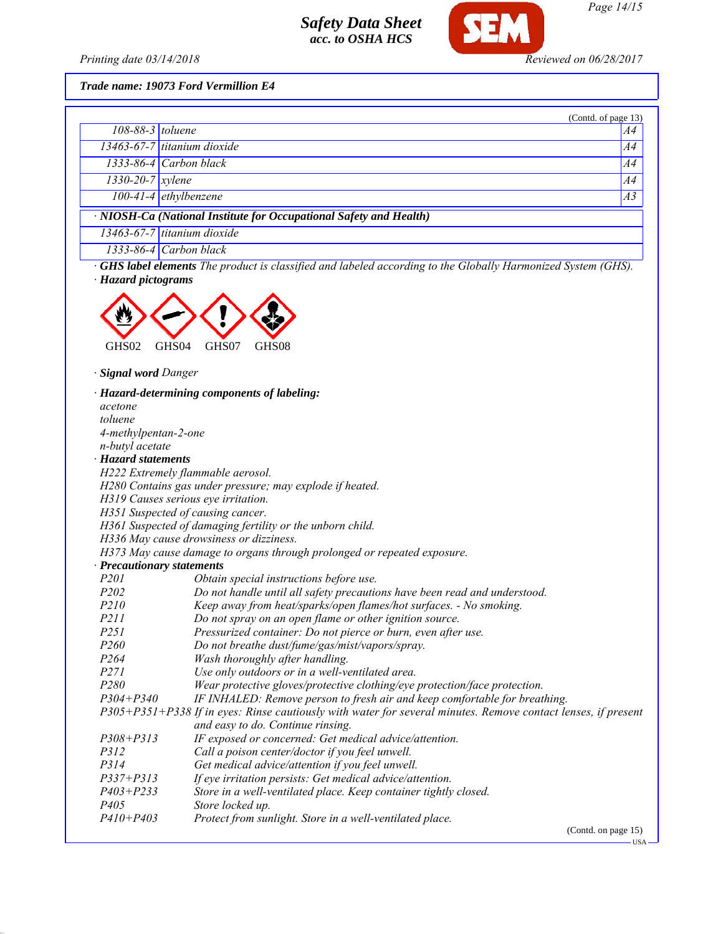

*Trade name: 19073 Ford Vermillion E4*

|                        |                                                                    | (Contd. of page 13) |
|------------------------|--------------------------------------------------------------------|---------------------|
| $108-88-3$ toluene     |                                                                    | A4                  |
|                        | 13463-67-7 titanium dioxide                                        | A4                  |
|                        | $1333-86-4$ Carbon black                                           | A4                  |
| $1330 - 20 - 7$ xylene |                                                                    | A4                  |
|                        | 100-41-4 ethylbenzene                                              | A3                  |
|                        | · NIOSH-Ca (National Institute for Occupational Safety and Health) |                     |
|                        | $13463-67-7$ titanium dioxide                                      |                     |
|                        | 1333-86-4 Carbon black                                             |                     |

*· GHS label elements The product is classified and labeled according to the Globally Harmonized System (GHS). · Hazard pictograms*



*· Signal word Danger*

|                                     | · Hazard-determining components of labeling:                                                                  |
|-------------------------------------|---------------------------------------------------------------------------------------------------------------|
| acetone                             |                                                                                                               |
| toluene                             |                                                                                                               |
| 4-methylpentan-2-one                |                                                                                                               |
| n-butyl acetate                     |                                                                                                               |
| · Hazard statements                 |                                                                                                               |
| H222 Extremely flammable aerosol.   |                                                                                                               |
|                                     | H280 Contains gas under pressure; may explode if heated.                                                      |
| H319 Causes serious eye irritation. |                                                                                                               |
| H351 Suspected of causing cancer.   |                                                                                                               |
|                                     | H361 Suspected of damaging fertility or the unborn child.                                                     |
|                                     | H336 May cause drowsiness or dizziness.                                                                       |
|                                     | H373 May cause damage to organs through prolonged or repeated exposure.                                       |
| · Precautionary statements          |                                                                                                               |
| P <sub>201</sub>                    | Obtain special instructions before use.                                                                       |
| P <sub>202</sub>                    | Do not handle until all safety precautions have been read and understood.                                     |
| P210                                | Keep away from heat/sparks/open flames/hot surfaces. - No smoking.                                            |
| P211                                | Do not spray on an open flame or other ignition source.                                                       |
| P <sub>251</sub>                    | Pressurized container: Do not pierce or burn, even after use.                                                 |
| P <sub>260</sub>                    | Do not breathe dust/fume/gas/mist/vapors/spray.                                                               |
| P <sub>264</sub>                    | Wash thoroughly after handling.                                                                               |
| P271                                | Use only outdoors or in a well-ventilated area.                                                               |
| P280                                | Wear protective gloves/protective clothing/eye protection/face protection.                                    |
| $P304 + P340$                       | IF INHALED: Remove person to fresh air and keep comfortable for breathing.                                    |
|                                     | P305+P351+P338 If in eyes: Rinse cautiously with water for several minutes. Remove contact lenses, if present |
|                                     | and easy to do. Continue rinsing.                                                                             |
| $P308 + P313$                       | IF exposed or concerned: Get medical advice/attention.                                                        |
| P312                                | Call a poison center/doctor if you feel unwell.                                                               |
| P314                                | Get medical advice/attention if you feel unwell.                                                              |
| $P337 + P313$                       | If eye irritation persists: Get medical advice/attention.                                                     |
| $P403 + P233$                       | Store in a well-ventilated place. Keep container tightly closed.                                              |
| P <sub>405</sub>                    | Store locked up.                                                                                              |
| $P410 + P403$                       | Protect from sunlight. Store in a well-ventilated place.                                                      |
|                                     | (Contd. on page 15)                                                                                           |

 $-<sub>USA</sub>$